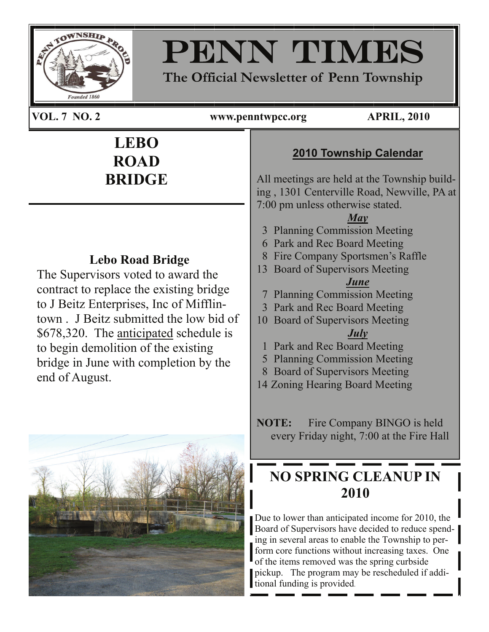

# PENN TIMES

**The Official Newsletter of Penn Township** 

**VOL. 7 NO. 2 www.penntwpcc.org APRIL, 2010** 

PAGE 1

# **LEBO ROAD BRIDGE**

## **Lebo Road Bridge**

The Supervisors voted to award the contract to replace the existing bridge to J Beitz Enterprises, Inc of Mifflintown . J Beitz submitted the low bid of \$678,320. The anticipated schedule is to begin demolition of the existing bridge in June with completion by the end of August.



## **2010 Township Calendar**

All meetings are held at the Township building , 1301 Centerville Road, Newville, PA at 7:00 pm unless otherwise stated.

## *May*

- 3 Planning Commission Meeting
- 6 Park and Rec Board Meeting
- 8 Fire Company Sportsmen's Raffle
- 13 Board of Supervisors Meeting

### *June*

- 7 Planning Commission Meeting
- 3 Park and Rec Board Meeting
- 10 Board of Supervisors Meeting *July*
	- 1 Park and Rec Board Meeting
	- 5 Planning Commission Meeting
- 8 Board of Supervisors Meeting
- 14 Zoning Hearing Board Meeting

**NOTE:** Fire Company BINGO is held every Friday night, 7:00 at the Fire Hall

## **NO SPRING CLEANUP IN 2010**

Due to lower than anticipated income for 2010, the Board of Supervisors have decided to reduce spending in several areas to enable the Township to perform core functions without increasing taxes. One of the items removed was the spring curbside pickup. The program may be rescheduled if additional funding is provided.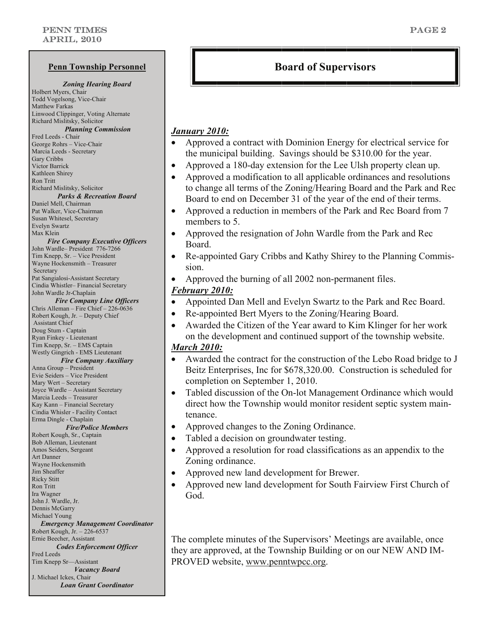### *Zoning Hearing Board*

Holbert Myers, Chair Todd Vogelsong, Vice-Chair Matthew Farkas Linwood Clippinger, Voting Alternate Richard Mislitsky, Solicitor

*Planning Commission* Fred Leeds - Chair George Rohrs – Vice-Chair Marcia Leeds - Secretary Gary Cribbs Victor Barrick Kathleen Shirey Ron Tritt Richard Mislitsky, Solicitor

### *Parks & Recreation Board*

Daniel Mell, Chairman Pat Walker, Vice-Chairman Susan Whitesel, Secretary Evelyn Swartz Max Klein

*Fire Company Executive Officers* John Wardle– President 776-7266

Tim Knepp, Sr. – Vice President Wayne Hockensmith – Treasurer Secretary Pat Sangialosi-Assistant Secretary Cindia Whistler– Financial Secretary John Wardle Jr-Chaplain

### *Fire Company Line Officers*

Chris Alleman – Fire Chief – 226-0636 Robert Kough, Jr. – Deputy Chief Assistant Chief Doug Stum - Captain Ryan Finkey - Lieutenant Tim Knepp, Sr. – EMS Captain Westly Gingrich - EMS Lieutenant *Fire Company Auxiliary* 

Anna Group – President

Evie Seiders – Vice President Mary Wert – Secretary Joyce Wardle – Assistant Secretary Marcia Leeds – Treasurer Kay Kann – Financial Secretary Cindia Whisler - Facility Contact

Erma Dingle - Chaplain

### *Fire/Police Members*

Robert Kough, Sr., Captain Bob Alleman, Lieutenant Amos Seiders, Sergeant Art Danner Wayne Hockensmith Jim Sheaffer Ricky Stitt Ron Tritt Ira Wagner John J. Wardle, Jr. Dennis McGarry Michael Young *Emergency Management Coordinator*  Robert Kough, Jr. – 226-6537 Ernie Beecher, Assistant *Codes Enforcement Officer*  Fred Leeds Tim Knepp Sr—Assistant *Vacancy Board*  J. Michael Ickes, Chair

*Loan Grant Coordinator* 

### **Penn Township Personnel Board of Supervisors**

### *January 2010:*

- Approved a contract with Dominion Energy for electrical service for the municipal building. Savings should be \$310.00 for the year.
- Approved a 180-day extension for the Lee Ulsh property clean up.
- Approved a modification to all applicable ordinances and resolutions to change all terms of the Zoning/Hearing Board and the Park and Rec Board to end on December 31 of the year of the end of their terms.
- Approved a reduction in members of the Park and Rec Board from 7 members to 5.
- Approved the resignation of John Wardle from the Park and Rec Board.
- Re-appointed Gary Cribbs and Kathy Shirey to the Planning Commission.
- Approved the burning of all 2002 non-permanent files.

### *February 2010:*

- Appointed Dan Mell and Evelyn Swartz to the Park and Rec Board.
- Re-appointed Bert Myers to the Zoning/Hearing Board.
- Awarded the Citizen of the Year award to Kim Klinger for her work on the development and continued support of the township website.

### *March 2010:*

- Awarded the contract for the construction of the Lebo Road bridge to J Beitz Enterprises, Inc for \$678,320.00. Construction is scheduled for completion on September 1, 2010.
- Tabled discussion of the On-lot Management Ordinance which would direct how the Township would monitor resident septic system maintenance.
- Approved changes to the Zoning Ordinance.
- Tabled a decision on groundwater testing.
- Approved a resolution for road classifications as an appendix to the Zoning ordinance.
- Approved new land development for Brewer.
- Approved new land development for South Fairview First Church of God.

The complete minutes of the Supervisors' Meetings are available, once they are approved, at the Township Building or on our NEW AND IM-PROVED website, www.penntwpcc.org.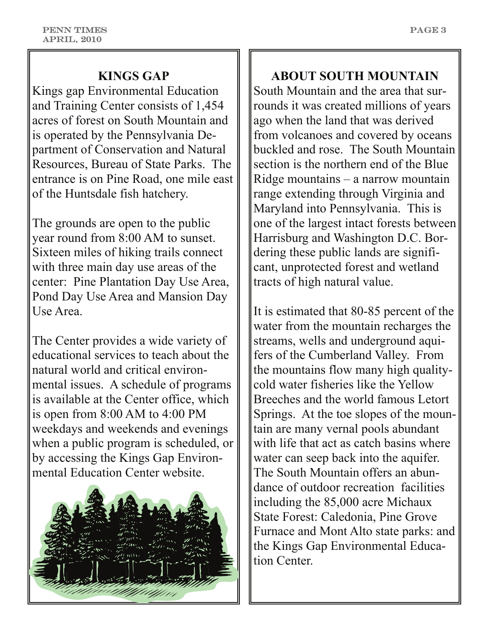## **KINGS GAP**

Kings gap Environmental Education and Training Center consists of 1,454 acres of forest on South Mountain and is operated by the Pennsylvania Department of Conservation and Natural Resources, Bureau of State Parks. The entrance is on Pine Road, one mile east of the Huntsdale fish hatchery.

The grounds are open to the public year round from 8:00 AM to sunset. Sixteen miles of hiking trails connect with three main day use areas of the center: Pine Plantation Day Use Area, Pond Day Use Area and Mansion Day Use Area.

The Center provides a wide variety of educational services to teach about the natural world and critical environmental issues. A schedule of programs is available at the Center office, which is open from 8:00 AM to 4:00 PM weekdays and weekends and evenings when a public program is scheduled, or by accessing the Kings Gap Environmental Education Center website.



**ABOUT SOUTH MOUNTAIN**  South Mountain and the area that surrounds it was created millions of years ago when the land that was derived from volcanoes and covered by oceans buckled and rose. The South Mountain section is the northern end of the Blue Ridge mountains – a narrow mountain range extending through Virginia and Maryland into Pennsylvania. This is one of the largest intact forests between Harrisburg and Washington D.C. Bordering these public lands are significant, unprotected forest and wetland tracts of high natural value.

It is estimated that 80-85 percent of the water from the mountain recharges the streams, wells and underground aquifers of the Cumberland Valley. From the mountains flow many high qualitycold water fisheries like the Yellow Breeches and the world famous Letort Springs. At the toe slopes of the mountain are many vernal pools abundant with life that act as catch basins where water can seep back into the aquifer. The South Mountain offers an abundance of outdoor recreation facilities including the 85,000 acre Michaux State Forest: Caledonia, Pine Grove Furnace and Mont Alto state parks: and the Kings Gap Environmental Education Center.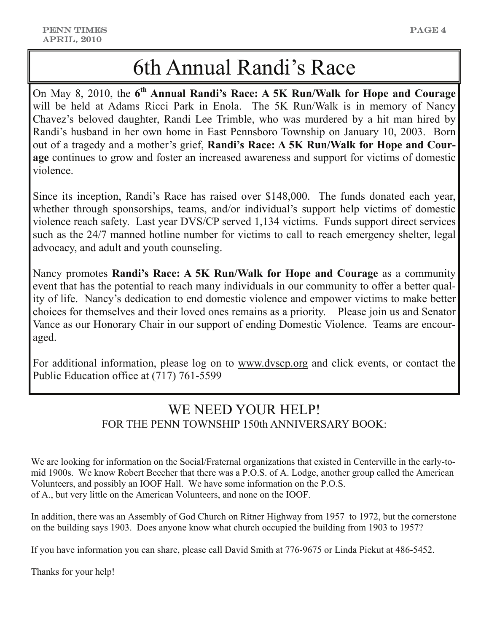# 6th Annual Randi's Race

On May 8, 2010, the **6th Annual Randi's Race: A 5K Run/Walk for Hope and Courage**  will be held at Adams Ricci Park in Enola. The 5K Run/Walk is in memory of Nancy Chavez's beloved daughter, Randi Lee Trimble, who was murdered by a hit man hired by Randi's husband in her own home in East Pennsboro Township on January 10, 2003. Born out of a tragedy and a mother's grief, **Randi's Race: A 5K Run/Walk for Hope and Courage** continues to grow and foster an increased awareness and support for victims of domestic violence.

Since its inception, Randi's Race has raised over \$148,000. The funds donated each year, whether through sponsorships, teams, and/or individual's support help victims of domestic violence reach safety. Last year DVS/CP served 1,134 victims. Funds support direct services such as the 24/7 manned hotline number for victims to call to reach emergency shelter, legal advocacy, and adult and youth counseling.

Nancy promotes **Randi's Race: A 5K Run/Walk for Hope and Courage** as a community event that has the potential to reach many individuals in our community to offer a better quality of life. Nancy's dedication to end domestic violence and empower victims to make better choices for themselves and their loved ones remains as a priority. Please join us and Senator Vance as our Honorary Chair in our support of ending Domestic Violence. Teams are encouraged.

For additional information, please log on to [www.dvscp.org](http://www.dvscp.org) and click events, or contact the Public Education office at (717) 761-5599

## WE NEED YOUR HELP! FOR THE PENN TOWNSHIP 150th ANNIVERSARY BOOK:

We are looking for information on the Social/Fraternal organizations that existed in Centerville in the early-tomid 1900s. We know Robert Beecher that there was a P.O.S. of A. Lodge, another group called the American Volunteers, and possibly an IOOF Hall. We have some information on the P.O.S. of A., but very little on the American Volunteers, and none on the IOOF.

In addition, there was an Assembly of God Church on Ritner Highway from 1957 to 1972, but the cornerstone on the building says 1903. Does anyone know what church occupied the building from 1903 to 1957?

If you have information you can share, please call David Smith at 776-9675 or Linda Piekut at 486-5452.

Thanks for your help!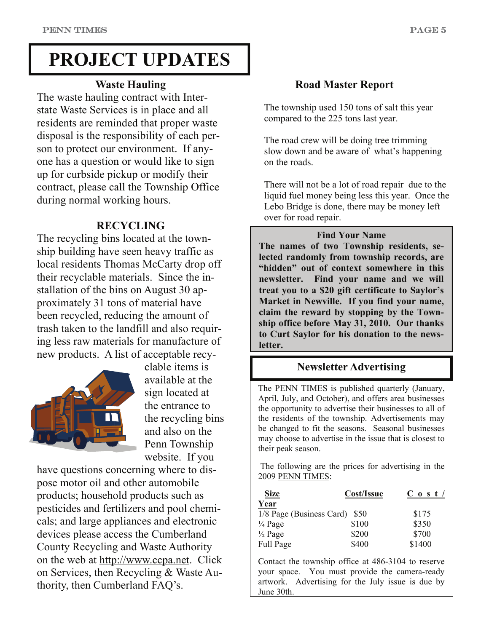# **PROJECT UPDATES**

### **Waste Hauling**

The waste hauling contract with Interstate Waste Services is in place and all residents are reminded that proper waste disposal is the responsibility of each person to protect our environment. If anyone has a question or would like to sign up for curbside pickup or modify their contract, please call the Township Office during normal working hours.

### **RECYCLING**

The recycling bins located at the township building have seen heavy traffic as local residents Thomas McCarty drop off their recyclable materials. Since the installation of the bins on August 30 approximately 31 tons of material have been recycled, reducing the amount of trash taken to the landfill and also requiring less raw materials for manufacture of new products. A list of acceptable recy-



clable items is available at the sign located at the entrance to the recycling bins and also on the Penn Township website. If you

have questions concerning where to dispose motor oil and other automobile products; household products such as pesticides and fertilizers and pool chemicals; and large appliances and electronic devices please access the Cumberland County Recycling and Waste Authority on the web at<http://www.ccpa.net>. Click on Services, then Recycling & Waste Authority, then Cumberland FAQ's.

### **Road Master Report**

The township used 150 tons of salt this year compared to the 225 tons last year.

The road crew will be doing tree trimming slow down and be aware of what's happening on the roads.

There will not be a lot of road repair due to the liquid fuel money being less this year. Once the Lebo Bridge is done, there may be money left over for road repair.

### **Find Your Name**

**The names of two Township residents, selected randomly from township records, are "hidden" out of context somewhere in this newsletter. Find your name and we will treat you to a \$20 gift certificate to Saylor's Market in Newville. If you find your name, claim the reward by stopping by the Township office before May 31, 2010. Our thanks to Curt Saylor for his donation to the newsletter.**

### **Newsletter Advertising**

The PENN TIMES is published quarterly (January, April, July, and October), and offers area businesses the opportunity to advertise their businesses to all of the residents of the township. Advertisements may be changed to fit the seasons. Seasonal businesses may choose to advertise in the issue that is closest to their peak season.

 The following are the prices for advertising in the 2009 PENN TIMES:

| <b>Size</b>                   | Cost/Issue | $C_0 s t /$ |
|-------------------------------|------------|-------------|
| Year                          |            |             |
| 1/8 Page (Business Card) \$50 |            | \$175       |
| $\frac{1}{4}$ Page            | \$100      | \$350       |
| $\frac{1}{2}$ Page            | \$200      | \$700       |
| Full Page                     | \$400      | \$1400      |

Contact the township office at 486-3104 to reserve your space. You must provide the camera-ready artwork. Advertising for the July issue is due by June 30th.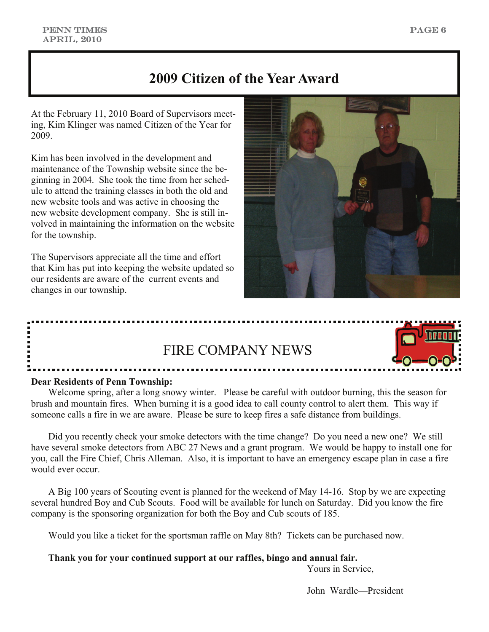## **2009 Citizen of the Year Award**

At the February 11, 2010 Board of Supervisors meeting, Kim Klinger was named Citizen of the Year for 2009.

Kim has been involved in the development and maintenance of the Township website since the beginning in 2004. She took the time from her schedule to attend the training classes in both the old and new website tools and was active in choosing the new website development company. She is still involved in maintaining the information on the website for the township.

The Supervisors appreciate all the time and effort that Kim has put into keeping the website updated so our residents are aware of the current events and changes in our township.





### **Dear Residents of Penn Township:**

 Welcome spring, after a long snowy winter. Please be careful with outdoor burning, this the season for brush and mountain fires. When burning it is a good idea to call county control to alert them. This way if someone calls a fire in we are aware. Please be sure to keep fires a safe distance from buildings.

 Did you recently check your smoke detectors with the time change? Do you need a new one? We still have several smoke detectors from ABC 27 News and a grant program. We would be happy to install one for you, call the Fire Chief, Chris Alleman. Also, it is important to have an emergency escape plan in case a fire would ever occur.

 A Big 100 years of Scouting event is planned for the weekend of May 14-16. Stop by we are expecting several hundred Boy and Cub Scouts. Food will be available for lunch on Saturday. Did you know the fire company is the sponsoring organization for both the Boy and Cub scouts of 185.

Would you like a ticket for the sportsman raffle on May 8th? Tickets can be purchased now.

**Thank you for your continued support at our raffles, bingo and annual fair.** 

Yours in Service,

John Wardle—President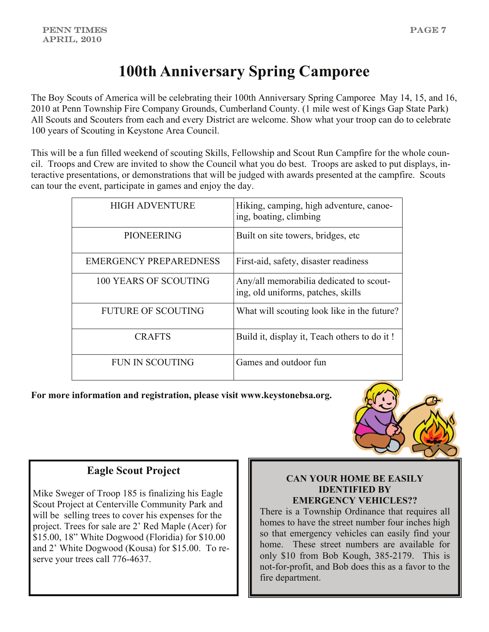# **100th Anniversary Spring Camporee**

The Boy Scouts of America will be celebrating their 100th Anniversary Spring Camporee May 14, 15, and 16, 2010 at Penn Township Fire Company Grounds, Cumberland County. (1 mile west of Kings Gap State Park) All Scouts and Scouters from each and every District are welcome. Show what your troop can do to celebrate 100 years of Scouting in Keystone Area Council.

This will be a fun filled weekend of scouting Skills, Fellowship and Scout Run Campfire for the whole council. Troops and Crew are invited to show the Council what you do best. Troops are asked to put displays, interactive presentations, or demonstrations that will be judged with awards presented at the campfire. Scouts can tour the event, participate in games and enjoy the day.

| <b>HIGH ADVENTURE</b>         | Hiking, camping, high adventure, canoe-<br>ing, boating, climbing             |
|-------------------------------|-------------------------------------------------------------------------------|
| <b>PIONEERING</b>             | Built on site towers, bridges, etc.                                           |
| <b>EMERGENCY PREPAREDNESS</b> | First-aid, safety, disaster readiness                                         |
| <b>100 YEARS OF SCOUTING</b>  | Any/all memorabilia dedicated to scout-<br>ing, old uniforms, patches, skills |
| <b>FUTURE OF SCOUTING</b>     | What will scouting look like in the future?                                   |
| <b>CRAFTS</b>                 | Build it, display it, Teach others to do it!                                  |
| <b>FUN IN SCOUTING</b>        | Games and outdoor fun                                                         |

**For more information and registration, please visit www.keystonebsa.org.** 



### **Eagle Scout Project**

Mike Sweger of Troop 185 is finalizing his Eagle Scout Project at Centerville Community Park and will be selling trees to cover his expenses for the project. Trees for sale are 2' Red Maple (Acer) for \$15.00, 18" White Dogwood (Floridia) for \$10.00 and 2' White Dogwood (Kousa) for \$15.00. To reserve your trees call 776-4637.

### **CAN YOUR HOME BE EASILY IDENTIFIED BY EMERGENCY VEHICLES??**

There is a Township Ordinance that requires all homes to have the street number four inches high so that emergency vehicles can easily find your home. These street numbers are available for only \$10 from Bob Kough, 385-2179. This is not-for-profit, and Bob does this as a favor to the fire department.